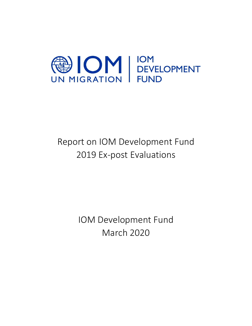

# Report on IOM Development Fund 2019 Ex-post Evaluations

IOM Development Fund March 2020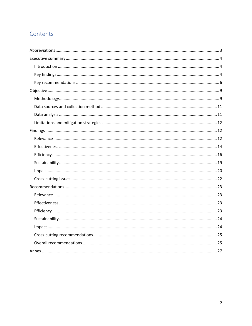# Contents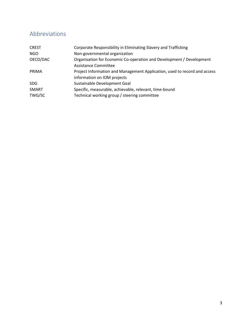# <span id="page-2-0"></span>Abbreviations

| <b>CREST</b> | Corporate Responsibility in Eliminating Slavery and Trafficking           |
|--------------|---------------------------------------------------------------------------|
| NGO          | Non-governmental organization                                             |
| OECD/DAC     | Organisation for Economic Co-operation and Development / Development      |
|              | Assistance Committee                                                      |
| PRIMA        | Project Information and Management Application, used to record and access |
|              | information on IOM projects                                               |
| SDG.         | Sustainable Development Goal                                              |
| SMART        | Specific, measurable, achievable, relevant, time-bound                    |
| TWG/SC       | Technical working group / steering committee                              |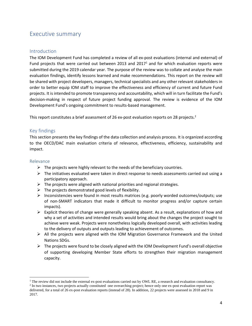# <span id="page-3-0"></span>Executive summary

## <span id="page-3-1"></span>**Introduction**

The IOM Development Fund has completed a review of all ex-post evaluations (internal and external) of Fund projects that were carried out between 2013 and 2017<sup>1</sup> and for which evaluation reports were submitted during the 2019 calendar year. The purpose of the review was to collate and analyse the main evaluation findings, identify lessons learned and make recommendations. This report on the review will be shared with project developers, managers, technical specialists and any other relevant stakeholders in order to better equip IOM staff to improve the effectiveness and efficiency of current and future Fund projects. It is intended to promote transparency and accountability, which will in turn facilitate the Fund's decision-making in respect of future project funding approval. The review is evidence of the IOM Development Fund's ongoing commitment to results-based management.

This report constitutes a brief assessment of 26 ex-post evaluation reports on 28 projects.<sup>2</sup>

## <span id="page-3-2"></span>Key findings

This section presents the key findings of the data collection and analysis process. It is organized according to the OECD/DAC main evaluation criteria of relevance, effectiveness, efficiency, sustainability and impact.

## Relevance

- $\triangleright$  The projects were highly relevant to the needs of the beneficiary countries.
- $\triangleright$  The initiatives evaluated were taken in direct response to needs assessments carried out using a participatory approach.
- $\triangleright$  The projects were aligned with national priorities and regional strategies.
- $\triangleright$  The projects demonstrated good levels of flexibility.
- $\triangleright$  Inconsistencies were found in most results matrices (e.g. poorly worded outcomes/outputs; use of non-SMART indicators that made it difficult to monitor progress and/or capture certain impacts).
- $\triangleright$  Explicit theories of change were generally speaking absent. As a result, explanations of how and why a set of activities and intended results would bring about the changes the project sought to achieve were weak. Projects were nonetheless logically developed overall, with activities leading to the delivery of outputs and outputs leading to achievement of outcomes.
- ➢ All the projects were aligned with the IOM Migration Governance Framework and the United Nations SDGs.
- $\triangleright$  The projects were found to be closely aligned with the IOM Development Fund's overall objective of supporting developing Member State efforts to strengthen their migration management capacity.

 $1$  The review did not include the external ex-post evaluations carried out by OWL RE, a research and evaluation consultancy.

<sup>&</sup>lt;sup>2</sup> In two instances, two projects actually constituted one overarching project; hence only one ex-post evaluation report was delivered, for a total of 26 ex-post evaluation reports (instead of 28). In addition, 22 projects were assessed in 2018 and 9 in 2017.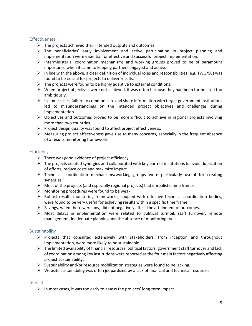#### Effectiveness

- $\triangleright$  The projects achieved their intended outputs and outcomes.
- $\triangleright$  The beneficiaries' early involvement and active participation in project planning and implementation were essential for effective and successful project implementation.
- $\triangleright$  Interministerial coordination mechanisms and working groups proved to be of paramount importance when it came to keeping partners engaged and active.
- $\triangleright$  In line with the above, a clear definition of individual roles and responsibilities (e.g. TWG/SC) was found to be crucial for projects to deliver results.
- $\triangleright$  The projects were found to be highly adaptive to external conditions.
- $\triangleright$  When project objectives were not achieved, it was often because they had been formulated too ambitiously.
- $\triangleright$  In some cases, failure to communicate and share information with target government institutions led to misunderstandings on the intended project objectives and challenges during implementation.
- ➢ Objectives and outcomes proved to be more difficult to achieve in regional projects involving more than two countries.
- $\triangleright$  Project design quality was found to affect project effectiveness.
- $\triangleright$  Measuring project effectiveness gave rise to many concerns, especially in the frequent absence of a results monitoring framework.

## **Efficiency**

- $\triangleright$  There was good evidence of project efficiency.
- $\triangleright$  The projects created synergies and collaborated with key partner institutions to avoid duplication of efforts, reduce costs and maximize impact.
- ➢ Technical coordination mechanisms/working groups were particularly useful for creating synergies.
- $\triangleright$  Most of the projects (and especially regional projects) had unrealistic time frames.
- $\triangleright$  Monitoring procedures were found to be weak.
- ➢ Robust results monitoring frameworks, coupled with effective technical coordination bodies, were found to be very useful for achieving results within a specific time frame.
- $\triangleright$  Savings, when there were any, did not negatively affect the attainment of outcomes.
- $\triangleright$  Most delays in implementation were related to political turmoil, staff turnover, remote management, inadequate planning and the absence of monitoring tools.

## **Sustainability**

- ➢ Projects that consulted extensively with stakeholders, from inception and throughout implementation, were more likely to be sustainable.
- $\triangleright$  The limited availability of financial resources, political factors, government staff turnover and lack of coordination among key institutions were reported as the four main factors negatively affecting project sustainability.
- $\triangleright$  Sustainability and/or resource mobilization strategies were found to be lacking.
- $\triangleright$  Website sustainability was often jeopardized by a lack of financial and technical resources.

#### Impact

 $\triangleright$  In most cases, it was too early to assess the projects' long-term impact.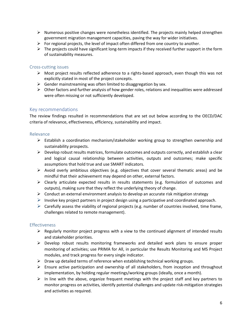- $\triangleright$  Numerous positive changes were nonetheless identified. The projects mainly helped strengthen government migration management capacities, paving the way for wider initiatives.
- $\triangleright$  For regional projects, the level of impact often differed from one country to another.
- $\triangleright$  The projects could have significant long-term impacts if they received further support in the form of sustainability measures.

#### Cross-cutting issues

- $\triangleright$  Most project results reflected adherence to a rights-based approach, even though this was not explicitly stated in most of the project concepts.
- $\triangleright$  Gender mainstreaming was often limited to disaggregation by sex.
- $\triangleright$  Other factors and further analysis of how gender roles, relations and inequalities were addressed were often missing or not sufficiently developed.

## <span id="page-5-0"></span>Key recommendations

The review findings resulted in recommendations that are set out below according to the OECD/DAC criteria of relevance, effectiveness, efficiency, sustainability and impact.

#### Relevance

- ➢ Establish a coordination mechanism/stakeholder working group to strengthen ownership and sustainability prospects.
- $\triangleright$  Develop robust results matrices, formulate outcomes and outputs correctly, and establish a clear and logical causal relationship between activities, outputs and outcomes; make specific assumptions that hold true and use SMART indicators.
- $\triangleright$  Avoid overly ambitious objectives (e.g. objectives that cover several thematic areas) and be mindful that their achievement may depend on other, external factors.
- $\triangleright$  Clearly articulate expected results in results statements (e.g. formulation of outcomes and outputs), making sure that they reflect the underlying theory of change.
- $\triangleright$  Conduct an external environment analysis to develop an accurate risk mitigation strategy
- $\triangleright$  Involve key project partners in project design using a participative and coordinated approach.
- $\triangleright$  Carefully assess the viability of regional projects (e.g. number of countries involved, time frame, challenges related to remote management).

## Effectiveness

- $\triangleright$  Regularly monitor project progress with a view to the continued alignment of intended results and stakeholder priorities.
- $\triangleright$  Develop robust results monitoring frameworks and detailed work plans to ensure proper monitoring of activities; use PRIMA for All, in particular the Results Monitoring and MS Project modules, and track progress for every single indicator.
- $\triangleright$  Draw up detailed terms of reference when establishing technical working groups.
- $\triangleright$  Ensure active participation and ownership of all stakeholders, from inception and throughout implementation, by holding regular meetings/working groups (ideally, once a month).
- $\triangleright$  In line with the above, organize frequent meetings with the project staff and key partners to monitor progress on activities, identify potential challenges and update risk-mitigation strategies and activities as required.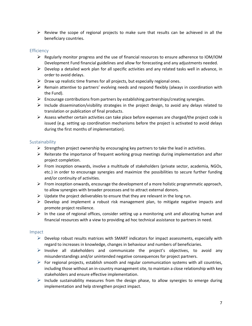$\triangleright$  Review the scope of regional projects to make sure that results can be achieved in all the beneficiary countries.

## **Efficiency**

- $\triangleright$  Regularly monitor progress and the use of financial resources to ensure adherence to IOM/IOM Development Fund financial guidelines and allow for forecasting and any adjustments needed.
- $\triangleright$  Develop a detailed work plan for all specific activities and any related tasks well in advance, in order to avoid delays.
- $\triangleright$  Draw up realistic time frames for all projects, but especially regional ones.
- $\triangleright$  Remain attentive to partners' evolving needs and respond flexibly (always in coordination with the Fund).
- $\triangleright$  Encourage contributions from partners by establishing partnerships/creating synergies.
- $\triangleright$  Include dissemination/visibility strategies in the project design, to avoid any delays related to translation or publication of final products.
- $\triangleright$  Assess whether certain activities can take place before expenses are charged/the project code is issued (e.g. setting up coordination mechanisms before the project is activated to avoid delays during the first months of implementation).

## **Sustainability**

- $\triangleright$  Strengthen project ownership by encouraging key partners to take the lead in activities.
- $\triangleright$  Reiterate the importance of frequent working group meetings during implementation and after project completion.
- $\triangleright$  From inception onwards, involve a multitude of stakeholders (private sector, academia, NGOs, etc.) in order to encourage synergies and maximize the possibilities to secure further funding and/or continuity of activities.
- $\triangleright$  From inception onwards, encourage the development of a more holistic programmatic approach, to allow synergies with broader processes and to attract external donors.
- $\triangleright$  Update the project deliverables to ensure that they are relevant in the long run.
- $\triangleright$  Develop and implement a robust risk management plan, to mitigate negative impacts and promote project resilience.
- $\triangleright$  In the case of regional offices, consider setting up a monitoring unit and allocating human and financial resources with a view to providing ad hoc technical assistance to partners in need.

## Impact

- $\triangleright$  Develop robust results matrices with SMART indicators for impact assessments, especially with regard to increases in knowledge, changes in behaviour and numbers of beneficiaries.
- $\triangleright$  Involve all stakeholders and communicate the project's objectives, to avoid any misunderstandings and/or unintended negative consequences for project partners.
- $\triangleright$  For regional projects, establish smooth and regular communication systems with all countries, including those without an in-country management site, to maintain a close relationship with key stakeholders and ensure effective implementation.
- $\triangleright$  Include sustainability measures from the design phase, to allow synergies to emerge during implementation and help strengthen project impact.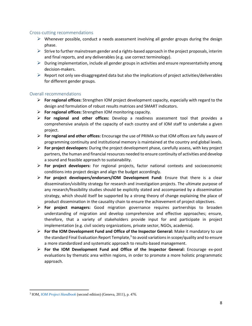#### Cross-cutting recommendations

- $\triangleright$  Whenever possible, conduct a needs assessment involving all gender groups during the design phase.
- $\triangleright$  Strive to further mainstream gender and a rights-based approach in the project proposals, interim and final reports, and any deliverables (e.g. use correct terminology).
- $\triangleright$  During implementation, include all gender groups in activities and ensure representativity among decision-makers.
- $\triangleright$  Report not only sex-disaggregated data but also the implications of project activities/deliverables for different gender groups.

## Overall recommendations

- ➢ **For regional offices:** Strengthen IOM project development capacity, especially with regard to the design and formulation of robust results matrices and SMART indicators.
- ➢ **For regional offices:** Strengthen IOM monitoring capacity.
- ➢ **For regional and other offices:** Develop a readiness assessment tool that provides a comprehensive analysis of the capacity of each country and of IOM staff to undertake a given project.
- ➢ **For regional and other offices:** Encourage the use of PRIMA so that IOM offices are fully aware of programming continuity and institutional memory is maintained at the country and global levels.
- ➢ **For project developers:** During the project development phase, carefully assess, with key project partners, the human and financial resources needed to ensure continuity of activities and develop a sound and feasible approach to sustainability.
- ➢ **For project developers:** For regional projects, factor national contexts and socioeconomic conditions into project design and align the budget accordingly.
- ➢ **For project developers/endorsers/IOM Development Fund:** Ensure that there is a clear dissemination/visibility strategy for research and investigation projects. The ultimate purpose of any research/feasibility studies should be explicitly stated and accompanied by a dissemination strategy, which should itself be supported by a strong theory of change explaining the place of product dissemination in the causality chain to ensure the achievement of project objectives.
- ➢ **For project managers:** Good migration governance requires partnerships to broaden understanding of migration and develop comprehensive and effective approaches; ensure, therefore, that a variety of stakeholders provide input for and participate in project implementation (e.g. civil society organizations, private sector, NGOs, academia).
- ➢ **For the IOM Development Fund and Office of the Inspector General:** Make it mandatory to use the standard Final Evaluation Report Template,<sup>3</sup> to avoid variations in scope/quality and to ensure a more standardized and systematic approach to results-based management.
- ➢ **For the IOM Development Fund and Office of the Inspector General:** Encourage ex-post evaluations by thematic area within regions, in order to promote a more holistic programmatic approach.

<sup>3</sup> IOM, *[IOM Project Handbook](https://publications.iom.int/system/files/pdf/iom_project_handbook_6feb2012.pdf)* (second edition) (Geneva, 2011), p. 476.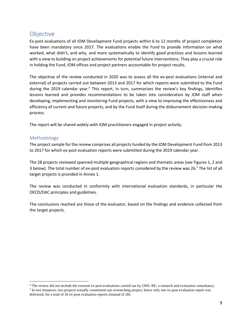# <span id="page-8-0"></span>Objective

Ex-post evaluations of all IOM Development Fund projects within 6 to 12 months of project completion have been mandatory since 2017. The evaluations enable the Fund to provide information on what worked, what didn't, and why, and more systematically to identify good practices and lessons learned with a view to building on project achievements for potential future interventions. They play a crucial role in holding the Fund, IOM offices and project partners accountable for project results.

The objective of the review conducted in 2020 was to assess all the ex-post evaluations (internal and external) of projects carried out between 2013 and 2017 for which reports were submitted to the Fund during the 2019 calendar year.<sup>4</sup> This report, in turn, summarizes the review's key findings, identifies lessons learned and provides recommendations to be taken into consideration by IOM staff when developing, implementing and monitoring Fund projects, with a view to improving the effectiveness and efficiency of current and future projects, and by the Fund itself during the disbursement decision-making process.

The report will be shared widely with IOM practitioners engaged in project activity.

## <span id="page-8-1"></span>Methodology

The project sample for the review comprises all projects funded by the IOM Development Fund from 2013 to 2017 for which ex-post evaluation reports were submitted during the 2019 calendar year.

The 28 projects reviewed spanned multiple geographical regions and thematic areas (see Figures 1, 2 and 3 below). The total number of ex-post evaluation reports considered by the review was 26.<sup>5</sup> The list of all target projects is provided in Annex 1.

The review was conducted in conformity with international evaluation standards, in particular the OECD/DAC principles and guidelines.

The conclusions reached are those of the evaluator, based on the findings and evidence collected from the target projects.

<sup>4</sup> The review did not include the external ex-post evaluations carried out by OWL RE, a research and evaluation consultancy. <sup>5</sup> In two instances, two projects actually constituted one overarching project; hence only one ex-post evaluation report was delivered, for a total of 26 ex-post evaluation reports (instead of 28).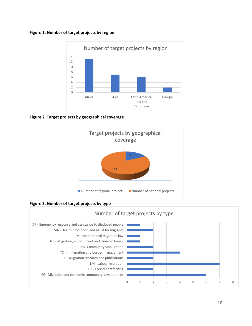#### **Figure 1. Number of target projects by region**



**Figure 2. Target projects by geographical coverage**



**Figure 3. Number of target projects by type**

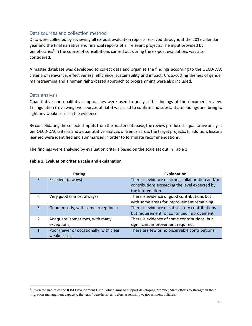## <span id="page-10-0"></span>Data sources and collection method

Data were collected by reviewing all ex-post evaluation reports received throughout the 2019 calendar year and the final narrative and financial reports of all relevant projects. The input provided by beneficiaries<sup>6</sup> in the course of consultations carried out during the ex-post evaluations was also considered.

A master database was developed to collect data and organize the findings according to the OECD-DAC criteria of relevance, effectiveness, efficiency, sustainability and impact. Cross-cutting themes of gender mainstreaming and a human rights-based approach to programming were also included.

## <span id="page-10-1"></span>Data analysis

Quantitative and qualitative approaches were used to analyse the findings of the document review. Triangulation (reviewing two sources of data) was used to confirm and substantiate findings and bring to light any weaknesses in the evidence.

By consolidating the collected inputs from the master database, the review produced a qualitative analysis per OECD-DAC criteria and a quantitative analysis of trends across the target projects. In addition, lessons learned were identified and summarized in order to formulate recommendations.

The findings were analysed by evaluation criteria based on the scale set out in Table 1.

#### **Table 1. Evaluation criteria scale and explanation**

| Rating        |                                         | <b>Explanation</b>                               |  |  |
|---------------|-----------------------------------------|--------------------------------------------------|--|--|
| 5             | Excellent (always)                      | There is evidence of strong collaboration and/or |  |  |
|               |                                         | contributions exceeding the level expected by    |  |  |
|               |                                         | the intervention.                                |  |  |
| 4             | Very good (almost always)               | There is evidence of good contributions but      |  |  |
|               |                                         | with some areas for improvement remaining.       |  |  |
| $\mathbf{R}$  | Good (mostly, with some exceptions)     | There is evidence of satisfactory contributions  |  |  |
|               |                                         | but requirement for continued improvement.       |  |  |
| $\mathcal{P}$ | Adequate (sometimes, with many          | There is evidence of some contributions, but     |  |  |
|               | exceptions)                             | significant improvement required.                |  |  |
|               | Poor (never or occasionally, with clear | There are few or no observable contributions.    |  |  |
|               | weaknesses)                             |                                                  |  |  |

<sup>6</sup> Given the nature of the IOM Development Fund, which aims to support developing Member State efforts to strengthen their migration management capacity, the term "beneficiaries" refers essentially to government officials.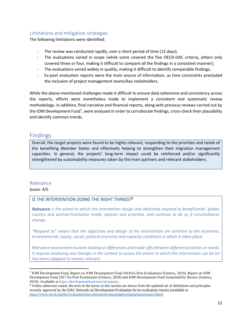## <span id="page-11-0"></span>Limitations and mitigation strategies

The following limitations were identified:

- The review was conducted rapidly, over a short period of time (15 days);
- The evaluations varied in scope (while some covered the five OECD-DAC criteria, others only covered three or four, making it difficult to compare all the findings in a consistent manner);
- The evaluations varied widely in quality, making it difficult to identify comparable findings;
- Ex-post evaluation reports were the main source of information, as time constraints precluded the inclusion of project management teams/key stakeholders.

While the above-mentioned challenges made it difficult to ensure data coherence and consistency across the reports, efforts were nonetheless made to implement a consistent and systematic review methodology. In addition, final narrative and financial reports, along with previous reviews carried out by the IOM Development Fund<sup>7</sup>, were analysed in order to corroborate findings, cross-check their plausibility and identify common trends.

## <span id="page-11-1"></span>Findings

Overall, the target projects were found to be highly relevant, responding to the priorities and needs of the benefiting Member States and effectively helping to strengthen their migration management capacities. In general, the projects' long-term impact could be reinforced and/or significantly strengthened by sustainability measures taken by the main partners and relevant stakeholders.

## <span id="page-11-2"></span>Relevance

#### Score: 4/5

## *IS THE INTERVENTION DOING THE RIGHT THINGS?<sup>8</sup>*

*Relevance* is the extent to which the intervention design and objectives respond to beneficiaries' global, *country and partner/institution needs, policies and priorities, and continue to do so if circumstances change.* 

*"Respond to" means that the objectives and design of the intervention are sensitive to the economic, environmental, equity, social, political economy and capacity conditions in which it takes place.* 

*Relevance assessment involves looking at differences and trade-offs between different priorities or needs. It requires analysing any changes in the context to assess the extent to which the intervention can be (or has been) adapted to remain relevant.*

<sup>7</sup> IOM Development Fund, *Report on IOM Development Fund 2018 Ex-Post Evaluations* (Geneva, 2019), *Report on IOM Development Fund 2017 Ex-Post Evaluations* (Geneva, 2018) and *IOM Development Fund Sustainability Review* (Geneva, 2019)*.* Available a[t https://developmentfund.iom.int/reports.](https://developmentfund.iom.int/reports)

<sup>8</sup> Unless otherwise stated, the texts in the boxes in this section are drawn from the updated set of definitions and principles recently approved by the DAC Network on Development Evaluation for its evaluation criteria (available at [https://www.oecd.org/dac/evaluation/daccriteriaforevaluatingdevelopmentassistance.htm\)](https://www.oecd.org/dac/evaluation/daccriteriaforevaluatingdevelopmentassistance.htm).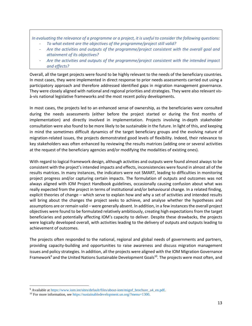*In evaluating the relevance of a programme or a project, it is useful to consider the following questions:* - *To what extent are the objectives of the programme/project still valid?*

- *Are the activities and outputs of the programme/project consistent with the overall goal and attainment of its objectives?*
- *Are the activities and outputs of the programme/project consistent with the intended impact and effects?*

Overall, all the target projects were found to be highly relevant to the needs of the beneficiary countries. In most cases, they were implemented in direct response to prior needs assessments carried out using a participatory approach and therefore addressed identified gaps in migration management governance. They were closely aligned with national and regional priorities and strategies. They were also relevant visà-vis national legislative frameworks and the most recent policy developments.

In most cases, the projects led to an enhanced sense of ownership, as the beneficiaries were consulted during the needs assessments (either before the project started or during the first months of implementation) and directly involved in implementation. Projects involving in-depth stakeholder consultation were also found to be more likely to be sustainable in the future. In light of this, and keeping in mind the sometimes difficult dynamics of the target beneficiary groups and the evolving nature of migration-related issues, the projects demonstrated good levels of flexibility. Indeed, their relevance to key stakeholders was often enhanced by reviewing the results matrices (adding one or several activities at the request of the beneficiary agencies and/or modifying the modalities of existing ones).

With regard to logical framework design, although activities and outputs were found almost always to be consistent with the project's intended impacts and effects, inconsistencies were found in almost all of the results matrices. In many instances, the indicators were not SMART, leading to difficulties in monitoring project progress and/or capturing certain impacts. The formulation of outputs and outcomes was not always aligned with IOM Project Handbook guidelines, occasionally causing confusion about what was really expected from the project in terms of institutional and/or behavioural change. In a related finding, explicit theories of change – which serve to explain how and why a set of activities and intended results will bring about the changes the project seeks to achieve, and analyse whether the hypotheses and assumptions are or remain valid – were generally absent. In addition, in a few instances the overall project objectives were found to be formulated relatively ambitiously, creating high expectations from the target beneficiaries and potentially affecting IOM's capacity to deliver. Despite these drawbacks, the projects were logically developed overall, with activities leading to the delivery of outputs and outputs leading to achievement of outcomes.

The projects often responded to the national, regional and global needs of governments and partners, providing capacity-building and opportunities to raise awareness and discuss migration management issues and policy strategies. In addition, all the projects were aligned with the IOM Migration Governance Framework<sup>9</sup> and the United Nations Sustainable Development Goals<sup>10</sup>. The projects were most often, and

<sup>9</sup> Available at [https://www.iom.int/sites/default/files/about-iom/migof\\_brochure\\_a4\\_en.pdf.](https://www.iom.int/sites/default/files/about-iom/migof_brochure_a4_en.pdf)

<sup>10</sup> For more information, se[e https://sustainabledevelopment.un.org/?menu=1300.](https://sustainabledevelopment.un.org/?menu=1300)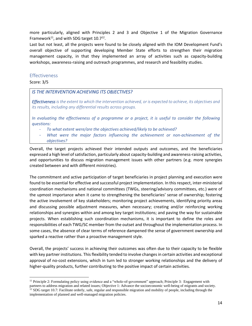more particularly, aligned with Principles 2 and 3 and Objective 1 of the Migration Governance Framework<sup>11</sup>, and with SDG target  $10.7<sup>12</sup>$ .

Last but not least, all the projects were found to be closely aligned with the IOM Development Fund's overall objective of supporting developing Member State efforts to strengthen their migration management capacity, in that they implemented an array of activities such as capacity-building workshops, awareness-raising and outreach programmes, and research and feasibility studies.

## <span id="page-13-0"></span>Effectiveness

Score: 3/5

## *IS THE INTERVENTION ACHIEVING ITS OBJECTIVES?*

*Effectiveness is the extent to which the intervention achieved, or is expected to achieve, its objectives and its results, including any differential results across groups.* 

*In evaluating the effectiveness of a programme or a project, it is useful to consider the following questions:*

- *To what extent were/are the objectives achieved/likely to be achieved?*
- What were the major factors influencing the achievement or non-achievement of the *objectives?*

Overall, the target projects achieved their intended outputs and outcomes, and the beneficiaries expressed a high level of satisfaction, particularly about capacity-building and awareness-raising activities, and opportunities to discuss migration management issues with other partners (e.g. more synergies created between and with different ministries).

The commitment and active participation of target beneficiaries in project planning and execution were found to be essential for effective and successful project implementation. In this respect, inter-ministerial coordination mechanisms and national committees (TWGs, steering/advisory committees, etc.) were of the upmost importance when it came to strengthening the beneficiaries' sense of ownership; fostering the active involvement of key stakeholders; monitoring project achievements, identifying priority areas and discussing possible adjustment measures, when necessary; creating and/or reinforcing working relationships and synergies within and among key target institutions; and paving the way for sustainable projects. When establishing such coordination mechanisms, it is important to define the roles and responsibilities of each TWG/SC member from the outset and throughout the implementation process. In some cases, the absence of clear terms of reference dampened the sense of government ownership and sparked a reactive rather than a proactive management style.

Overall, the projects' success in achieving their outcomes was often due to their capacity to be flexible with key partner institutions. This flexibility tended to involve changes in certain activities and exceptional approval of no-cost extensions, which in turn led to stronger working relationships and the delivery of higher-quality products, further contributing to the positive impact of certain activities.

<sup>&</sup>lt;sup>11</sup> Principle 2: Formulating policy using evidence and a "whole-of-government" approach; Principle 3: Engagement with partners to address migration and related issues; Objective 1: Advance the socioeconomic well-being of migrants and society.  $12$  SDG target 10.7: Facilitate orderly, safe, regular and responsible migration and mobility of people, including through the implementation of planned and well-managed migration policies.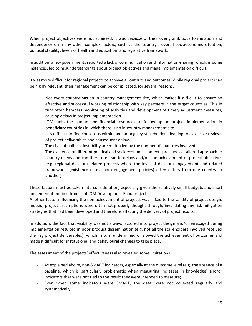When project objectives were not achieved, it was because of their overly ambitious formulation and dependency on many other complex factors, such as the country's overall socioeconomic situation, political stability, levels of health and education, and legislative framework.

In addition, a few governments reported a lack of communication and information-sharing, which, in some instances, led to misunderstandings about project objectives and made implementation difficult.

It was more difficult for regional projects to achieve all outputs and outcomes. While regional projects can be highly relevant, their management can be complicated, for several reasons.

- Not every country has an in-country management site, which makes it difficult to ensure an effective and successful working relationship with key partners in the target countries. This in turn often hampers monitoring of activities and development of timely adjustment measures, causing delays in project implementation.
- IOM lacks the human and financial resources to follow up on project implementation in beneficiary countries in which there is no in-country management site.
- It is difficult to find consensus within and among key stakeholders, leading to extensive reviews of project deliverables and consequent delays.
- The risks of political instability are multiplied by the number of countries involved.
- The existence of different political and socioeconomic contexts precludes a tailored approach to country needs and can therefore lead to delays and/or non-achievement of project objectives (e.g. regional diaspora-related projects where the level of diaspora engagement and related frameworks (existence of diaspora engagement policies) often differs from one country to another).

These factors must be taken into consideration, especially given the relatively small budgets and short implementation time frames of IOM Development Fund projects.

Another factor influencing the non-achievement of projects was linked to the validity of project design. Indeed, project assumptions were often not properly thought through, invalidating any risk-mitigation strategies that had been developed and therefore affecting the delivery of project results.

In addition, the fact that visibility was not always factored into project design and/or envisaged during implementation resulted in poor product dissemination (e.g. not all the stakeholders involved received the key project deliverables), which in turn undermined or slowed the achievement of outcomes and made it difficult for institutional and behavioural changes to take place.

The assessment of the projects' effectiveness also revealed some limitations.

- As explained above, non-SMART indicators, especially at the outcome level (e.g. the absence of a baseline, which is particularly problematic when measuring increases in knowledge) and/or indicators that were not tied to the result they were intended to measure;
- Even when some indicators were SMART, the data were not collected regularly and systematically;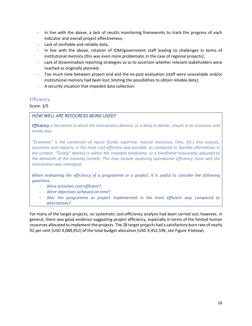- In line with the above, a lack of results monitoring frameworks to track the progress of each indicator and overall project effectiveness;
- Lack of verifiable and reliable data;
- In line with the above, rotation of IOM/government staff leading to challenges in terms of institutional memory (this was even more problematic in the case of regional projects);
- Lack of dissemination reporting strategies so as to ascertain whether relevant stakeholders were reached as originally planned;
- Too much time between project end and the ex-post evaluation (staff were unavailable and/or institutional memory had been lost, limiting the possibilities to obtain reliable data);
- A security situation that impeded data collection.

## <span id="page-15-0"></span>**Efficiency**

Score: 3/5

## *HOW WELL ARE RESOURCES BEING USED?*

*Efficiency is the extent to which the intervention delivers, or is likely to deliver, results in an economic and timely way.* 

*"Economic" is the conversion of inputs (funds, expertise, natural resources, time, etc.) into outputs, outcomes and impacts, in the most cost-effective way possible, as compared to feasible alternatives in the context. "Timely" delivery is within the intended timeframe, or a timeframe reasonably adjusted to the demands of the evolving context. This may include assessing operational efficiency (how well the intervention was managed).*

*When evaluating the efficiency of a programme or a project, it is useful to consider the following questions:*

- *Were activities cost-efficient?*
- *Were objectives achieved on time?*
- *Was the programme or project implemented in the most efficient way compared to alternatives?*

For many of the target projects, no systematic cost-efficiency analysis had been carried out; however, in general, there was good evidence suggesting project efficiency, especially in terms of the limited human resources allocated to implement the projects. The 28 target projects had a satisfactory burn rate of nearly 92 per cent (USD 4,088,952) of the total budget allocation (USD 4,452,596, see Figure 4 below).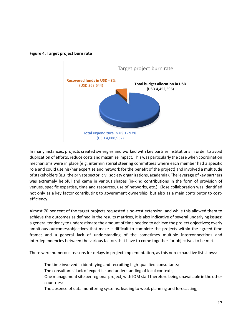



In many instances, projects created synergies and worked with key partner institutions in order to avoid duplication of efforts, reduce costs and maximize impact. This was particularly the case when coordination mechanisms were in place (e.g. interministerial steering committees where each member had a specific role and could use his/her expertise and network for the benefit of the project) and involved a multitude of stakeholders (e.g. the private sector, civil society organizations, academia). The leverage of key partners was extremely helpful and came in various shapes (in-kind contributions in the form of provision of venues, specific expertise, time and resources, use of networks, etc.). Close collaboration was identified not only as a key factor contributing to government ownership, but also as a main contributor to costefficiency.

Almost 70 per cent of the target projects requested a no-cost extension, and while this allowed them to achieve the outcomes as defined in the results matrices, it is also indicative of several underlying issues: a general tendency to underestimate the amount of time needed to achieve the project objectives; overly ambitious outcomes/objectives that make it difficult to complete the projects within the agreed time frame; and a general lack of understanding of the sometimes multiple interconnections and interdependencies between the various factors that have to come together for objectives to be met.

There were numerous reasons for delays in project implementation, as this non-exhaustive list shows:

- The time involved in identifying and recruiting high-qualified consultants;
- The consultants' lack of expertise and understanding of local contexts;
- One management site per regional project, with IOM staff therefore being unavailable in the other countries;
- The absence of data monitoring systems, leading to weak planning and forecasting;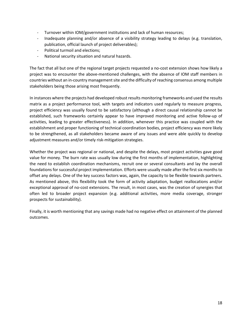- Turnover within IOM/government institutions and lack of human resources;
- Inadequate planning and/or absence of a visibility strategy leading to delays (e.g. translation, publication, official launch of project deliverables);
- Political turmoil and elections;
- National security situation and natural hazards.

The fact that all but one of the regional target projects requested a no-cost extension shows how likely a project was to encounter the above-mentioned challenges, with the absence of IOM staff members in countries without an in-country management site and the difficulty of reaching consensus among multiple stakeholders being those arising most frequently.

In instances where the projects had developed robust results monitoring frameworks and used the results matrix as a project performance tool, with targets and indicators used regularly to measure progress, project efficiency was usually found to be satisfactory (although a direct causal relationship cannot be established, such frameworks certainly appear to have improved monitoring and active follow-up of activities, leading to greater effectiveness). In addition, whenever this practice was coupled with the establishment and proper functioning of technical coordination bodies, project efficiency was more likely to be strengthened, as all stakeholders became aware of any issues and were able quickly to develop adjustment measures and/or timely risk-mitigation strategies.

Whether the project was regional or national, and despite the delays, most project activities gave good value for money. The burn rate was usually low during the first months of implementation, highlighting the need to establish coordination mechanisms, recruit one or several consultants and lay the overall foundations for successful project implementation. Efforts were usually made after the first six monthsto offset any delays. One of the key success factors was, again, the capacity to be flexible towards partners. As mentioned above, this flexibility took the form of activity adaptation, budget reallocations and/or exceptional approval of no-cost extensions. The result, in most cases, was the creation of synergies that often led to broader project expansion (e.g. additional activities, more media coverage, stronger prospects for sustainability).

Finally, it is worth mentioning that any savings made had no negative effect on attainment of the planned outcomes.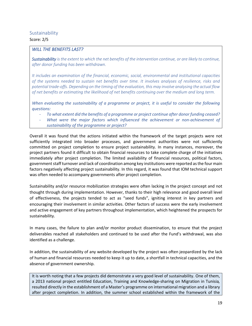# <span id="page-18-0"></span>**Sustainability**

## Score: 2/5

## *WILL THE BENEFITS LAST?*

*Sustainability is the extent to which the net benefits of the intervention continue, or are likely to continue, after donor funding has been withdrawn.* 

*It includes an examination of the financial, economic, social, environmental and institutional capacities of the systems needed to sustain net benefits over time. It involves analyses of resilience, risks and potential trade-offs. Depending on the timing of the evaluation, this may involve analysing the actual flow of net benefits or estimating the likelihood of net benefits continuing over the medium and long term.*

*When evaluating the sustainability of a programme or project, it is useful to consider the following questions:*

- *To what extent did the benefits of a programme or project continue after donor funding ceased?*
- What were the major factors which influenced the achievement or non-achievement of *sustainability of the programme or project?*

Overall it was found that the actions initiated within the framework of the target projects were not sufficiently integrated into broader processes, and government authorities were not sufficiently committed on project completion to ensure project sustainability. In many instances, moreover, the project partners found it difficult to obtain financial resources to take complete charge of the initiatives immediately after project completion. The limited availability of financial resources, political factors, government staff turnover and lack of coordination among key institutions were reported as the four main factors negatively affecting project sustainability. In this regard, it was found that IOM technical support was often needed to accompany governments after project completion.

Sustainability and/or resource mobilization strategies were often lacking in the project concept and not thought through during implementation. However, thanks to their high relevance and good overall level of effectiveness, the projects tended to act as "seed funds", igniting interest in key partners and encouraging their involvement in similar activities. Other factors of success were the early involvement and active engagement of key partners throughout implementation, which heightened the prospects for sustainability.

In many cases, the failure to plan and/or monitor product dissemination, to ensure that the project deliverables reached all stakeholders and continued to be used after the Fund's withdrawal, was also identified as a challenge.

In addition, the sustainability of any website developed by the project was often jeopardized by the lack of human and financial resources needed to keep it up to date, a shortfall in technical capacities, and the absence of government ownership.

It is worth noting that a few projects did demonstrate a very good level of sustainability. One of them, a 2013 national project entitled Education, Training and Knowledge-sharing on Migration in Tunisia*,*  resulted directly in the establishment of a Master's programme on international migration and a library after project completion. In addition, the summer school established within the framework of the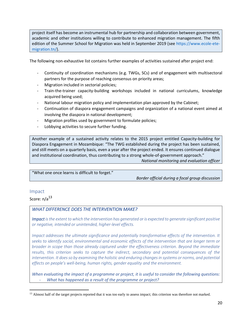project itself has become an instrumental hub for partnership and collaboration between government, academic and other institutions willing to contribute to enhanced migration management. The fifth edition of the Summer School for Migration was held in September 2019 (see [https://www.ecole-ete](https://www.ecole-ete-migration.tn/)[migration.tn/\)](https://www.ecole-ete-migration.tn/).

The following non-exhaustive list contains further examples of activities sustained after project end:

- Continuity of coordination mechanisms (e.g. TWGs, SCs) and of engagement with multisectoral partners for the purpose of reaching consensus on priority areas;
- Migration included in sectorial policies;
- Train-the-trainer capacity-building workshops included in national curriculums, knowledge acquired being used;
- National labour migration policy and implementation plan approved by the Cabinet;
- Continuation of diaspora engagement campaigns and organization of a national event aimed at involving the diaspora in national development;
- Migration profiles used by government to formulate policies;
- Lobbying activities to secure further funding.

Another example of a sustained activity relates to the 2015 project entitled Capacity-building for Diaspora Engagement in Mozambique: "The TWG established during the project has been sustained, and still meets on a quarterly basis, even a year after the project ended. It ensures continued dialogue and institutional coordination, thus contributing to a strong whole-of-government approach." *National monitoring and evaluation officer*

"What one once learns is difficult to forget."

*Border official during a focal group discussion*

## <span id="page-19-0"></span>Impact

Score:  $n/a^{13}$ 

## *WHAT DIFFERENCE DOES THE INTERVENTION MAKE?*

*Impact is the extent to which the intervention has generated or is expected to generate significant positive or negative, intended or unintended, higher-level effects.* 

*Impact addresses the ultimate significance and potentially transformative effects of the intervention. It seeks to identify social, environmental and economic effects of the intervention that are longer term or broader in scope than those already captured under the effectiveness criterion. Beyond the immediate results, this criterion seeks to capture the indirect, secondary and potential consequences of the intervention. It does so by examining the holistic and enduring changes in systems or norms, and potential effects on people's well-being, human rights, gender equality and the environment.*

*When evaluating the impact of a programme or project, it is useful to consider the following questions:* - *What has happened as a result of the programme or project?*

<sup>&</sup>lt;sup>13</sup> Almost half of the target projects reported that it was too early to assess impact; this criterion was therefore not marked.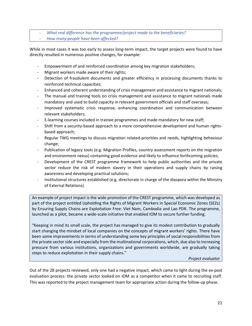- *What real difference has the programme/project made to the beneficiaries?*
- *How many people have been affected?*

While in most cases it was too early to assess long-term impact, the target projects were found to have directly resulted in numerous positive changes, for example:

- Empowerment of and reinforced coordination among key migration stakeholders;
- Migrant workers made aware of their rights;
- Detection of fraudulent documents and greater efficiency in processing documents thanks to reinforced technical capacities;
- Enhanced and coherent understanding of crisis management and assistance to migrant nationals;
- The manual and training tools on crisis management and assistance to migrant nationals made mandatory and used to build capacity in relevant government officials and staff overseas;
- Improved systematic crisis response, enhancing coordination and communication between relevant stakeholders;
- E-learning courses included in trainee programmes and made mandatory for new staff;
- Shift from a security-based approach to a more comprehensive development and human rightsbased approach;
- Regular TWG meetings to discuss migration related-priorities and needs, highlighting behaviour change;
- Publication of legacy tools (e.g. Migration Profiles, country assessment reports on the migration and environment nexus) containing good evidence and likely to influence forthcoming policies;
- Development of the CREST programme framework to help public authorities and the private sector reduce the risk of modern slavery in their operations and supply chains by raising awareness and developing practical solutions;
- Institutional structures established (e.g. directorate in charge of the diaspora within the Ministry of External Relations).

An example of project impact is the wide promotion of the CREST programme, which was developed as part of the project entitled Upholding the Rights of Migrant Workers in Special Economic Zones (SEZs) by Ensuring Supply Chains are Exploitation Free: Viet Nam, Cambodia and Lao PDR. The programme, launched as a pilot, became a wide-scale initiative that enabled IOM to secure further funding.

"Keeping in mind its small scale, the project has managed to give its modest contribution to gradually start changing the mindset of local companies on the concepts of migrant workers' rights. There have been some improvements in terms of understanding some key principles of social responsibilities from the private sector side and especially from the multinational corporations, which, due also to increasing pressure from various institutions, organizations and governments worldwide, are gradually taking steps to reduce exploitation in their supply chains."

*Project evaluator*

Out of the 28 projects reviewed, only one had a negative impact, which came to light during the ex-post evaluation process: the private sector looked on IOM as a competitor when it came to recruiting staff. This was reported to the project management team for appropriate action during the follow-up phase.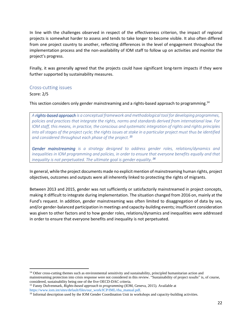In line with the challenges observed in respect of the effectiveness criterion, the impact of regional projects is somewhat harder to assess and tends to take longer to become visible. It also often differed from one project country to another, reflecting differences in the level of engagement throughout the implementation process and the non-availability of IOM staff to follow up on activities and monitor the project's progress.

Finally, it was generally agreed that the projects could have significant long-term impacts if they were further supported by sustainability measures.

#### <span id="page-21-0"></span>Cross-cutting issues

#### Score: 2/5

This section considers only gender mainstreaming and a rights-based approach to programming.<sup>14</sup>

*A rights-based approach is a conceptual framework and methodological tool for developing programmes, policies and practices that integrate the rights, norms and standards derived from international law. For IOM staff, this means, in practice, the conscious and systematic integration of rights and rights principles into all stages of the project cycle; the rights issues at stake in a particular project must thus be identified and considered throughout each phase of the project. 15*

*Gender mainstreaming is a strategy designed to address gender roles, relations/dynamics and*  inequalities in IOM programming and policies, in order to ensure that everyone benefits equally and that *inequality is not perpetuated. The ultimate goal is gender equality.<sup>16</sup>*

In general, while the project documents made no explicit mention of mainstreaming human rights, project objectives, outcomes and outputs were all inherently linked to protecting the rights of migrants.

Between 2013 and 2015, gender was not sufficiently or satisfactorily mainstreamed in project concepts, making it difficult to integrate during implementation. The situation changed from 2016 on, mainly at the Fund's request. In addition, gender mainstreaming was often limited to disaggregation of data by sex, and/or gender-balanced participation in meetings and capacity-building events; insufficient consideration was given to other factors and to how gender roles, relations/dynamics and inequalities were addressed in order to ensure that everyone benefits and inequality is not perpetuated.

<sup>&</sup>lt;sup>14</sup> Other cross-cutting themes such as environmental sensitivity and sustainability, principled humanitarian action and mainstreaming protection into crisis response were not considered in this review. "Sustainability of project results" is, of course, considered, sustainability being one of the five OECD-DAC criteria.

<sup>15</sup> Fanny Dufvenmark, *Rights-based approach to programming* (IOM, Geneva, 2015)*.* Available at [https://www.iom.int/sites/default/files/our\\_work/ICP/IML/rba\\_manual.pdf.](https://www.iom.int/sites/default/files/our_work/ICP/IML/rba_manual.pdf)

<sup>&</sup>lt;sup>16</sup> Informal description used by the IOM Gender Coordination Unit in workshops and capacity-building activities.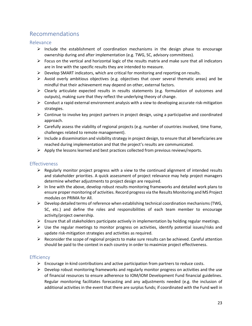# <span id="page-22-0"></span>Recommendations

## <span id="page-22-1"></span>Relevance

- $\triangleright$  Include the establishment of coordination mechanisms in the design phase to encourage ownership during and after implementation (e.g. TWG, SC, advisory committees).
- $\triangleright$  Focus on the vertical and horizontal logic of the results matrix and make sure that all indicators are in line with the specific results they are intended to measure.
- $\triangleright$  Develop SMART indicators, which are critical for monitoring and reporting on results.
- $\triangleright$  Avoid overly ambitious objectives (e.g. objectives that cover several thematic areas) and be mindful that their achievement may depend on other, external factors.
- $\triangleright$  Clearly articulate expected results in results statements (e.g. formulation of outcomes and outputs), making sure that they reflect the underlying theory of change.
- $\triangleright$  Conduct a rapid external environment analysis with a view to developing accurate risk-mitigation strategies.
- $\triangleright$  Continue to involve key project partners in project design, using a participative and coordinated approach.
- ➢ Carefully assess the viability of regional projects (e.g. number of countries involved, time frame, challenges related to remote management).
- $\triangleright$  Include a dissemination and visibility strategy in project design, to ensure that all beneficiaries are reached during implementation and that the project's results are communicated.
- $\triangleright$  Apply the lessons learned and best practices collected from previous reviews/reports.

## <span id="page-22-2"></span>Effectiveness

- $\triangleright$  Regularly monitor project progress with a view to the continued alignment of intended results and stakeholder priorities. A quick assessment of project relevance may help project managers determine whether adjustments to project design are required.
- ➢ In line with the above, develop robust results monitoring frameworks and detailed work plans to ensure proper monitoring of activities. Record progress via the Results Monitoring and MS Project modules on PRIMA for All.
- $\triangleright$  Develop detailed terms of reference when establishing technical coordination mechanisms (TWG, SC, etc.) and define the roles and responsibilities of each team member to encourage activity/project ownership.
- $\triangleright$  Ensure that all stakeholders participate actively in implementation by holding regular meetings.
- $\triangleright$  Use the regular meetings to monitor progress on activities, identify potential issues/risks and update risk-mitigation strategies and activities as required.
- $\triangleright$  Reconsider the scope of regional projects to make sure results can be achieved. Careful attention should be paid to the context in each country in order to maximize project effectiveness.

## <span id="page-22-3"></span>**Efficiency**

- $\triangleright$  Encourage in-kind contributions and active participation from partners to reduce costs.
- $\triangleright$  Develop robust monitoring frameworks and regularly monitor progress on activities and the use of financial resources to ensure adherence to IOM/IOM Development Fund financial guidelines. Regular monitoring facilitates forecasting and any adjustments needed (e.g. the inclusion of additional activities in the event that there are surplus funds; if coordinated with the Fund well in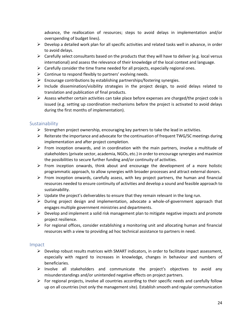advance, the reallocation of resources; steps to avoid delays in implementation and/or overspending of budget lines).

- $\triangleright$  Develop a detailed work plan for all specific activities and related tasks well in advance, in order to avoid delays.
- $\triangleright$  Carefully select consultants based on the products that they will have to deliver (e.g. local versus international) and assess the relevance of their knowledge of the local context and language.
- $\triangleright$  Carefully consider the time frame needed for all projects, especially regional ones.
- $\triangleright$  Continue to respond flexibly to partners' evolving needs.
- $\triangleright$  Encourage contributions by establishing partnerships/fostering synergies.
- ➢ Include dissemination/visibility strategies in the project design, to avoid delays related to translation and publication of final products.
- $\triangleright$  Assess whether certain activities can take place before expenses are charged/the project code is issued (e.g. setting up coordination mechanisms before the project is activated to avoid delays during the first months of implementation).

## <span id="page-23-0"></span>**Sustainability**

- $\triangleright$  Strengthen project ownership, encouraging key partners to take the lead in activities.
- $\triangleright$  Reiterate the importance and advocate for the continuation of frequent TWG/SC meetings during implementation and after project completion.
- $\triangleright$  From inception onwards, and in coordination with the main partners, involve a multitude of stakeholders(private sector, academia, NGOs, etc.) in order to encourage synergies and maximize the possibilities to secure further funding and/or continuity of activities.
- $\triangleright$  From inception onwards, think about and encourage the development of a more holistic programmatic approach, to allow synergies with broader processes and attract external donors.
- $\triangleright$  From inception onwards, carefully assess, with key project partners, the human and financial resources needed to ensure continuity of activities and develop a sound and feasible approach to sustainability.
- $\triangleright$  Update the project's deliverables to ensure that they remain relevant in the long run.
- ➢ During project design and implementation, advocate a whole-of-government approach that engages multiple government ministries and departments.
- $\triangleright$  Develop and implement a solid risk management plan to mitigate negative impacts and promote project resilience.
- $\triangleright$  For regional offices, consider establishing a monitoring unit and allocating human and financial resources with a view to providing ad hoc technical assistance to partners in need.

## <span id="page-23-1"></span>Impact

- $\triangleright$  Develop robust results matrices with SMART indicators, in order to facilitate impact assessment, especially with regard to increases in knowledge, changes in behaviour and numbers of beneficiaries.
- $\triangleright$  Involve all stakeholders and communicate the project's objectives to avoid any misunderstandings and/or unintended negative effects on project partners.
- $\triangleright$  For regional projects, involve all countries according to their specific needs and carefully follow up on all countries (not only the management site). Establish smooth and regular communication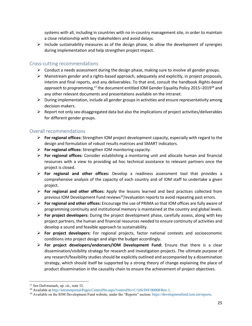systems with all, including in countries with no in-country management site, in order to maintain a close relationship with key stakeholders and avoid delays.

 $\triangleright$  Include sustainability measures as of the design phase, to allow the development of synergies during implementation and help strengthen project impact.

## <span id="page-24-0"></span>Cross-cutting recommendations

- ➢ Conduct a needs assessment during the design phase, making sure to involve all gender groups.
- $\triangleright$  Mainstream gender and a rights-based approach, adequately and explicitly, in project proposals, interim and final reports, and any deliverables. To that end, consult the handbook *Rights-based*  approach to programming,<sup>17</sup> the document entitled IOM Gender Equality Policy 2015–2019<sup>18</sup> and any other relevant documents and presentations available on the intranet.
- $\triangleright$  During implementation, include all gender groups in activities and ensure representativity among decision-makers.
- $\triangleright$  Report not only sex-disaggregated data but also the implications of project activities/deliverables for different gender groups.

## <span id="page-24-1"></span>Overall recommendations

- ➢ **For regional offices:** Strengthen IOM project development capacity, especially with regard to the design and formulation of robust results matrices and SMART indicators.
- ➢ **For regional offices:** Strengthen IOM monitoring capacity.
- ➢ **For regional offices:** Consider establishing a monitoring unit and allocate human and financial resources with a view to providing ad hoc technical assistance to relevant partners once the project is closed.
- ➢ **For regional and other offices:** Develop a readiness assessment tool that provides a comprehensive analysis of the capacity of each country and of IOM staff to undertake a given project.
- ➢ **For regional and other offices:** Apply the lessons learned and best practices collected from previous IOM Development Fund reviews<sup>19</sup>/evaluation reports to avoid repeating past errors.
- ➢ **For regional and other offices:** Encourage the use of PRIMA so that IOM offices are fully aware of programming continuity and institutional memory is maintained at the country and global levels.
- ➢ **For project developers:** During the project development phase, carefully assess, along with key project partners, the human and financial resources needed to ensure continuity of activities and develop a sound and feasible approach to sustainability.
- ➢ **For project developers:** For regional projects, factor national contexts and socioeconomic conditions into project design and align the budget accordingly.
- ➢ **For project developers/endorsers/IOM Development Fund:** Ensure that there is a clear dissemination/visibility strategy for research and investigation projects. The ultimate purpose of any research/feasibility studies should be explicitly outlined and accompanied by a dissemination strategy, which should itself be supported by a strong theory of change explaining the place of product dissemination in the causality chain to ensure the achievement of project objectives.

<sup>17</sup> See Dufvenmark, op. cit., note 15.

<sup>&</sup>lt;sup>18</sup> Available a[t http://intranetportal/Pages/ControlNo.aspx?controlNo=C/106/INF/00008/Rev.1.](http://intranetportal/Pages/ControlNo.aspx?controlNo=C/106/INF/00008/Rev.1)

<sup>19</sup> Available on the IOM Development Fund website, under the "Reports" section[: https://developmentfund.iom.int/reports.](https://developmentfund.iom.int/reports)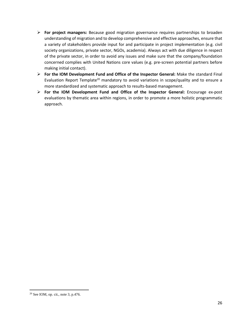- ➢ **For project managers:** Because good migration governance requires partnerships to broaden understanding of migration and to develop comprehensive and effective approaches, ensure that a variety of stakeholders provide input for and participate in project implementation (e.g. civil society organizations, private sector, NGOs, academia). Always act with due diligence in respect of the private sector, in order to avoid any issues and make sure that the company/foundation concerned complies with United Nations core values (e.g. pre-screen potential partners before making initial contact).
- ➢ **For the IOM Development Fund and Office of the Inspector General:** Make the standard Final Evaluation Report Template<sup>20</sup> mandatory to avoid variations in scope/quality and to ensure a more standardized and systematic approach to results-based management.
- ➢ **For the IOM Development Fund and Office of the Inspector General:** Encourage ex-post evaluations by thematic area within regions, in order to promote a more holistic programmatic approach.

<sup>20</sup> See IOM, op. cit., note 3, p.476.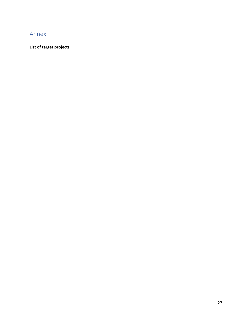# <span id="page-26-0"></span>Annex

## **List of target projects**